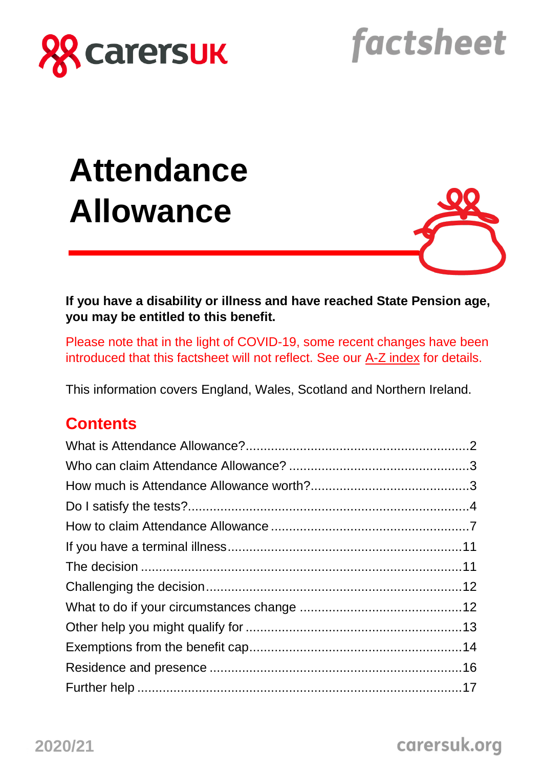

factsheet

# **Attendance Allowance**



**If you have a disability or illness and have reached State Pension age, you may be entitled to this benefit.**

Please note that in the light of COVID-19, some recent changes have been introduced that this factsheet will not reflect. See our [A-Z index](https://www.carersuk.org/help-and-advice/coronavirus-covid-19/a-z-of-changes-to-benefits-assessments-and-support-covid-19#sec1) for details.

This information covers England, Wales, Scotland and Northern Ireland.

## **Contents**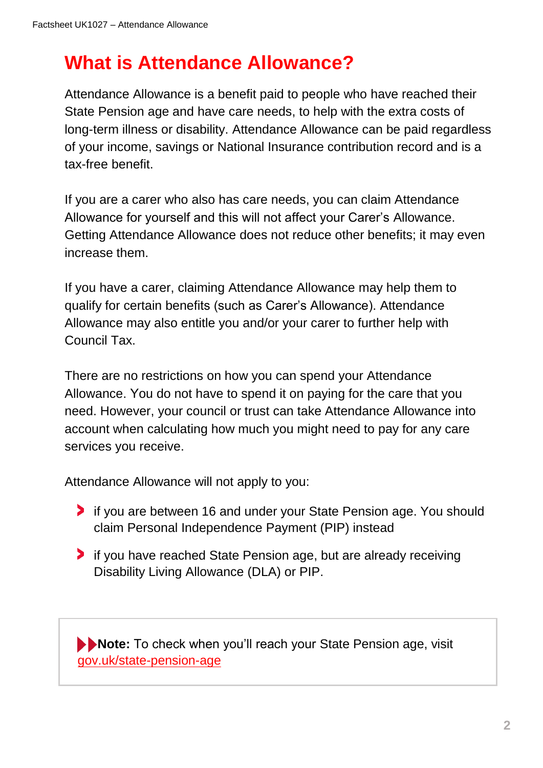# **What is Attendance Allowance?**

Attendance Allowance is a benefit paid to people who have reached their State Pension age and have care needs, to help with the extra costs of long-term illness or disability. Attendance Allowance can be paid regardless of your income, savings or National Insurance contribution record and is a tax-free benefit.

If you are a carer who also has care needs, you can claim Attendance Allowance for yourself and this will not affect your Carer's Allowance. Getting Attendance Allowance does not reduce other benefits; it may even increase them.

If you have a carer, claiming Attendance Allowance may help them to qualify for certain benefits (such as Carer's Allowance). Attendance Allowance may also entitle you and/or your carer to further help with Council Tax.

There are no restrictions on how you can spend your Attendance Allowance. You do not have to spend it on paying for the care that you need. However, your council or trust can take Attendance Allowance into account when calculating how much you might need to pay for any care services you receive.

Attendance Allowance will not apply to you:

- **If you are between 16 and under your State Pension age. You should** claim Personal Independence Payment (PIP) instead
- **If you have reached State Pension age, but are already receiving** Disability Living Allowance (DLA) or PIP.

**Note:** To check when you'll reach your State Pension age, visit [gov.uk/state-pension-age](https://www.gov.uk/state-pension-age)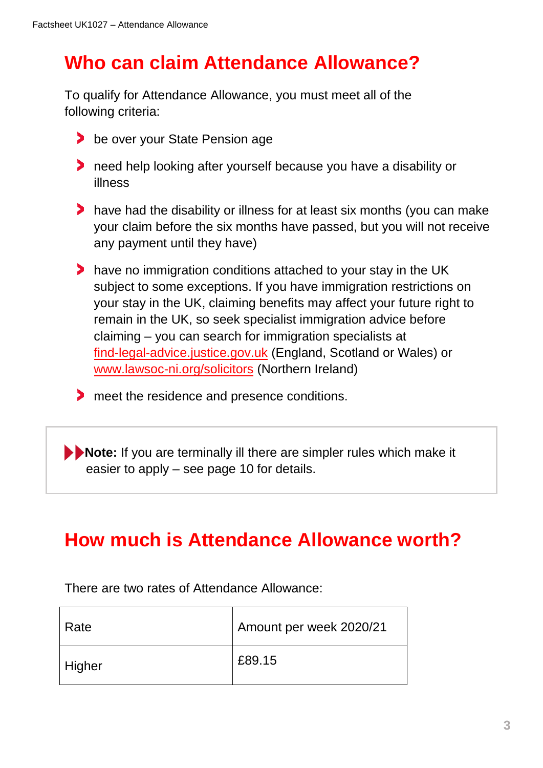# **Who can claim Attendance Allowance?**

To qualify for Attendance Allowance, you must meet all of the following criteria:

- **be over your State Pension age**
- **h** need help looking after yourself because you have a disability or illness
- have had the disability or illness for at least six months (you can make your claim before the six months have passed, but you will not receive any payment until they have)
- **have no immigration conditions attached to your stay in the UK** subject to some exceptions. If you have immigration restrictions on your stay in the UK, claiming benefits may affect your future right to remain in the UK, so seek specialist immigration advice before claiming – you can search for immigration specialists at [find-legal-advice.justice.gov.uk](https://find-legal-advice.justice.gov.uk/) (England, Scotland or Wales) or [www.lawsoc-ni.org/solicitors](https://www.lawsoc-ni.org/solicitors) (Northern Ireland)
- meet the residence and presence conditions.

**Note:** If you are terminally ill there are simpler rules which make it easier to apply – see page 10 for details.

# **How much is Attendance Allowance worth?**

There are two rates of Attendance Allowance:

| Rate   | Amount per week 2020/21 |
|--------|-------------------------|
| Higher | £89.15                  |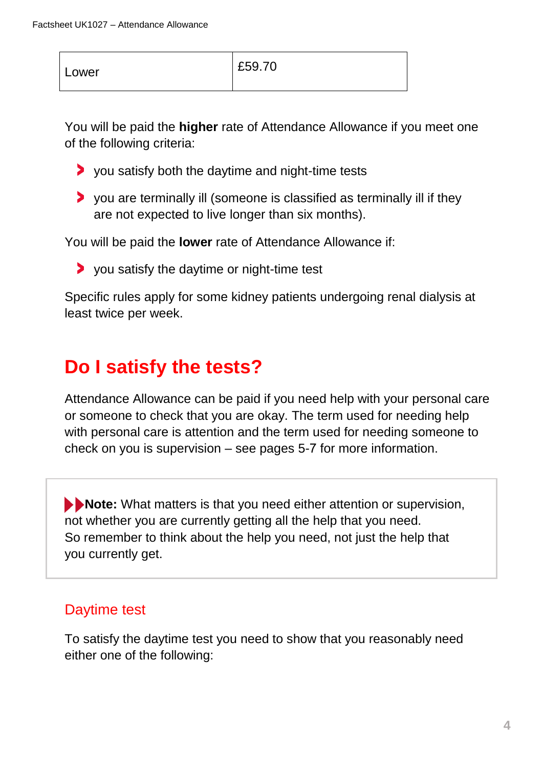| Lower | £59.70 |
|-------|--------|
|       |        |

You will be paid the **higher** rate of Attendance Allowance if you meet one of the following criteria:

- you satisfy both the daytime and night-time tests
- you are terminally ill (someone is classified as terminally ill if they are not expected to live longer than six months).

You will be paid the **lower** rate of Attendance Allowance if:

you satisfy the daytime or night-time test

Specific rules apply for some kidney patients undergoing renal dialysis at least twice per week.

# **Do I satisfy the tests?**

Attendance Allowance can be paid if you need help with your personal care or someone to check that you are okay. The term used for needing help with personal care is attention and the term used for needing someone to check on you is supervision – see pages 5-7 for more information.

**Note:** What matters is that you need either attention or supervision, not whether you are currently getting all the help that you need. So remember to think about the help you need, not just the help that you currently get.

### Daytime test

To satisfy the daytime test you need to show that you reasonably need either one of the following: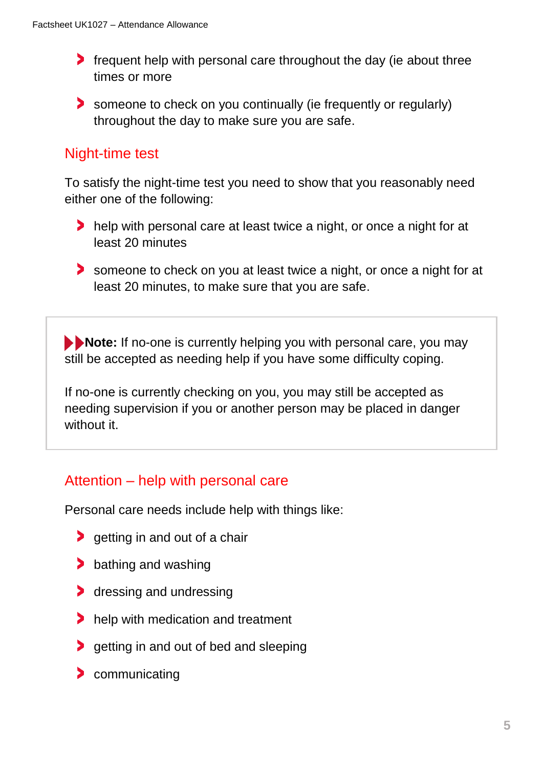- **f** frequent help with personal care throughout the day (ie about three times or more
- someone to check on you continually (ie frequently or regularly) throughout the day to make sure you are safe.

### Night-time test

To satisfy the night-time test you need to show that you reasonably need either one of the following:

- help with personal care at least twice a night, or once a night for at least 20 minutes
- someone to check on you at least twice a night, or once a night for at least 20 minutes, to make sure that you are safe.

**Note:** If no-one is currently helping you with personal care, you may still be accepted as needing help if you have some difficulty coping.

If no-one is currently checking on you, you may still be accepted as needing supervision if you or another person may be placed in danger without it.

### Attention – help with personal care

Personal care needs include help with things like:

- $\blacktriangleright$  getting in and out of a chair
- **bathing and washing**
- **dressing and undressing**
- help with medication and treatment
- **getting in and out of bed and sleeping**
- **Communicating**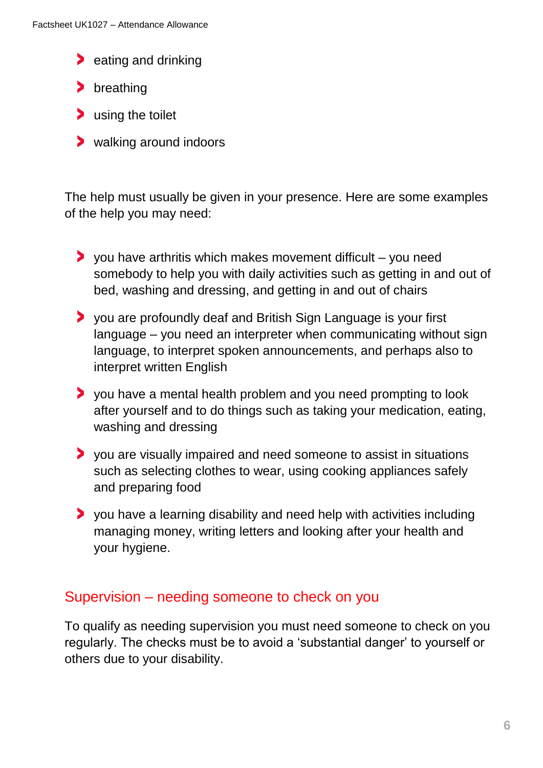- **a** eating and drinking
- > breathing
- **b** using the toilet
- walking around indoors

The help must usually be given in your presence. Here are some examples of the help you may need:

- $\triangleright$  you have arthritis which makes movement difficult you need somebody to help you with daily activities such as getting in and out of bed, washing and dressing, and getting in and out of chairs
- you are profoundly deaf and British Sign Language is your first language – you need an interpreter when communicating without sign language, to interpret spoken announcements, and perhaps also to interpret written English
- you have a mental health problem and you need prompting to look after yourself and to do things such as taking your medication, eating, washing and dressing
- you are visually impaired and need someone to assist in situations such as selecting clothes to wear, using cooking appliances safely and preparing food
- you have a learning disability and need help with activities including managing money, writing letters and looking after your health and your hygiene.

### Supervision – needing someone to check on you

To qualify as needing supervision you must need someone to check on you regularly. The checks must be to avoid a 'substantial danger' to yourself or others due to your disability.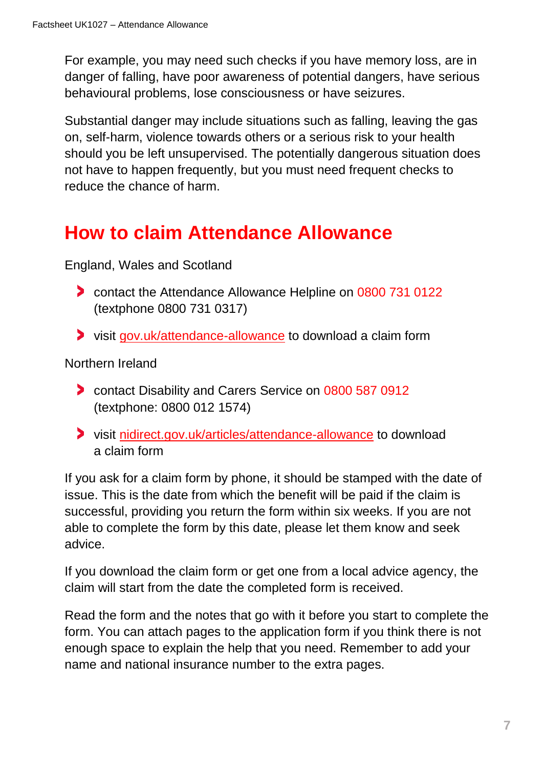For example, you may need such checks if you have memory loss, are in danger of falling, have poor awareness of potential dangers, have serious behavioural problems, lose consciousness or have seizures.

Substantial danger may include situations such as falling, leaving the gas on, self-harm, violence towards others or a serious risk to your health should you be left unsupervised. The potentially dangerous situation does not have to happen frequently, but you must need frequent checks to reduce the chance of harm.

# **How to claim Attendance Allowance**

England, Wales and Scotland

- **Contact the Attendance Allowance Helpline on 0800 731 0122** (textphone 0800 731 0317)
- visit [gov.uk/attendance-allowance](https://www.gov.uk/attendance-allowance) to download a claim form

Northern Ireland

- **Contact Disability and Carers Service on 0800 587 0912** (textphone: 0800 012 1574)
- visit [nidirect.gov.uk/articles/attendance-allowance](https://www.nidirect.gov.uk/articles/attendance-allowance) to download a claim form

If you ask for a claim form by phone, it should be stamped with the date of issue. This is the date from which the benefit will be paid if the claim is successful, providing you return the form within six weeks. If you are not able to complete the form by this date, please let them know and seek advice.

If you download the claim form or get one from a local advice agency, the claim will start from the date the completed form is received.

Read the form and the notes that go with it before you start to complete the form. You can attach pages to the application form if you think there is not enough space to explain the help that you need. Remember to add your name and national insurance number to the extra pages.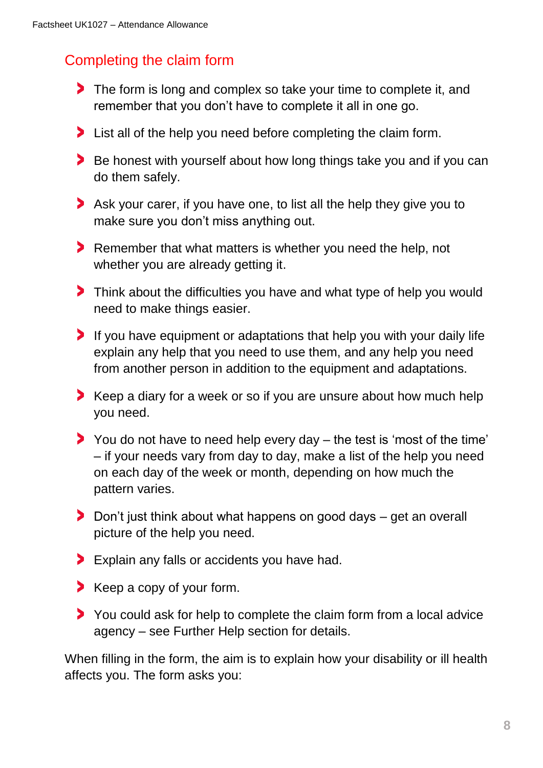### Completing the claim form

- The form is long and complex so take your time to complete it, and remember that you don't have to complete it all in one go.
- It is all of the help you need before completing the claim form.
- Be honest with yourself about how long things take you and if you can do them safely.
- Ask your carer, if you have one, to list all the help they give you to make sure you don't miss anything out.
- Remember that what matters is whether you need the help, not whether you are already getting it.
- Think about the difficulties you have and what type of help you would need to make things easier.
- If you have equipment or adaptations that help you with your daily life explain any help that you need to use them, and any help you need from another person in addition to the equipment and adaptations.
- Keep a diary for a week or so if you are unsure about how much help you need.
- You do not have to need help every day the test is 'most of the time' – if your needs vary from day to day, make a list of the help you need on each day of the week or month, depending on how much the pattern varies.
- Don't just think about what happens on good days get an overall picture of the help you need.
- Explain any falls or accidents you have had.
- Keep a copy of your form.
- You could ask for help to complete the claim form from a local advice agency – see Further Help section for details.

When filling in the form, the aim is to explain how your disability or ill health affects you. The form asks you: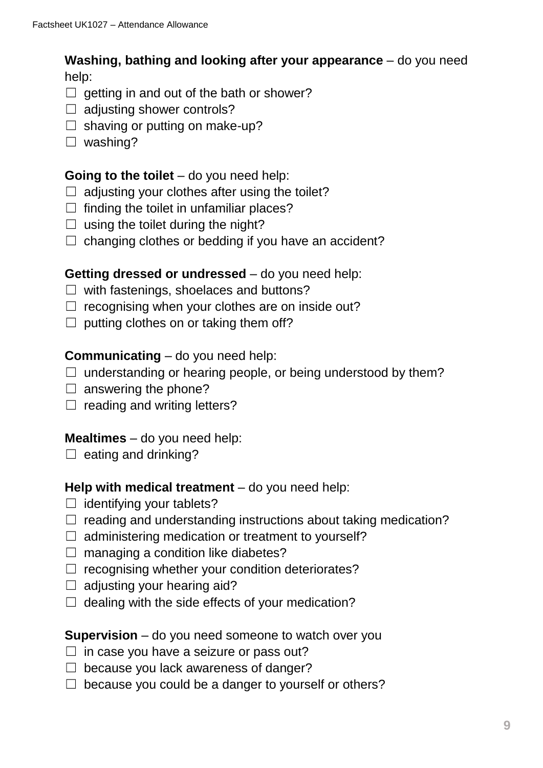**Washing, bathing and looking after your appearance** – do you need help:

- $\Box$  getting in and out of the bath or shower?
- $\Box$  adjusting shower controls?
- $\Box$  shaving or putting on make-up?
- ☐ washing?

### **Going to the toilet** – do you need help:

- $\Box$  adjusting your clothes after using the toilet?
- $\Box$  finding the toilet in unfamiliar places?
- $\Box$  using the toilet during the night?
- $\Box$  changing clothes or bedding if you have an accident?

### **Getting dressed or undressed** – do you need help:

- $\Box$  with fastenings, shoelaces and buttons?
- $\Box$  recognising when your clothes are on inside out?
- $\Box$  putting clothes on or taking them off?

### **Communicating** – do you need help:

- $\Box$  understanding or hearing people, or being understood by them?
- $\Box$  answering the phone?
- $\Box$  reading and writing letters?

### **Mealtimes** – do you need help:

 $\Box$  eating and drinking?

### **Help with medical treatment** – do you need help:

- $\Box$  identifying your tablets?
- $\Box$  reading and understanding instructions about taking medication?
- $\Box$  administering medication or treatment to yourself?
- $\Box$  managing a condition like diabetes?
- $\Box$  recognising whether your condition deteriorates?
- $\Box$  adjusting your hearing aid?
- $\Box$  dealing with the side effects of your medication?

### **Supervision** – do you need someone to watch over you

- $\Box$  in case you have a seizure or pass out?
- $\Box$  because you lack awareness of danger?
- $\Box$  because you could be a danger to yourself or others?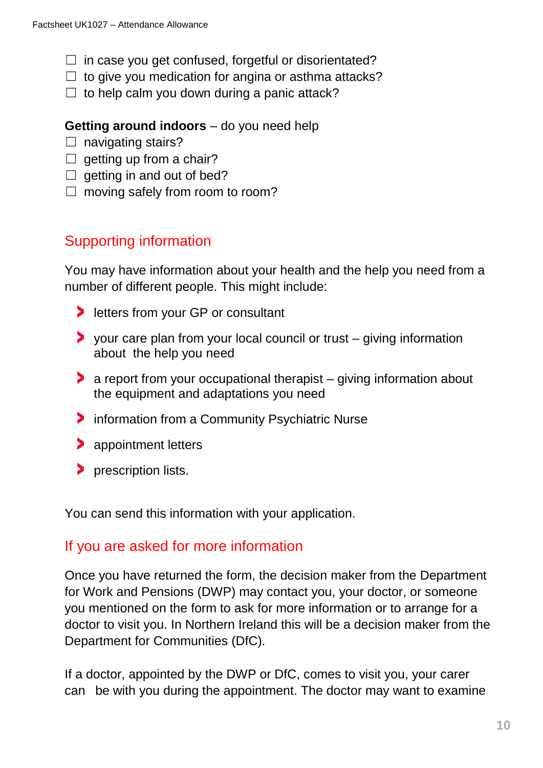- $\Box$  in case you get confused, forgetful or disorientated?
- $\Box$  to give you medication for angina or asthma attacks?
- $\Box$  to help calm you down during a panic attack?

### **Getting around indoors** – do you need help

- $\Box$  navigating stairs?
- $\Box$  getting up from a chair?
- $\Box$  getting in and out of bed?
- $\Box$  moving safely from room to room?

### Supporting information

You may have information about your health and the help you need from a number of different people. This might include:

- **In letters from your GP or consultant**
- your care plan from your local council or trust giving information about the help you need
- a report from your occupational therapist giving information about the equipment and adaptations you need
- $\bullet$  information from a Community Psychiatric Nurse
- **appointment letters**
- **Prescription lists.**

You can send this information with your application.

### If you are asked for more information

Once you have returned the form, the decision maker from the Department for Work and Pensions (DWP) may contact you, your doctor, or someone you mentioned on the form to ask for more information or to arrange for a doctor to visit you. In Northern Ireland this will be a decision maker from the Department for Communities (DfC).

If a doctor, appointed by the DWP or DfC, comes to visit you, your carer can be with you during the appointment. The doctor may want to examine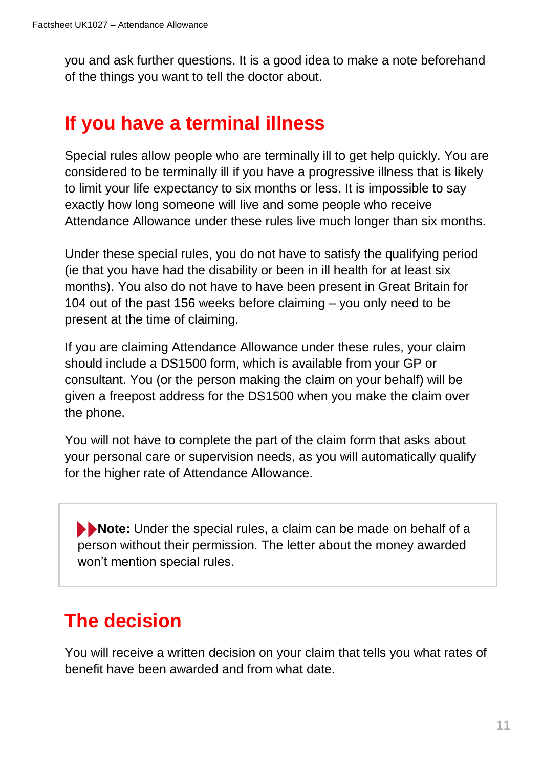you and ask further questions. It is a good idea to make a note beforehand of the things you want to tell the doctor about.

# **If you have a terminal illness**

Special rules allow people who are terminally ill to get help quickly. You are considered to be terminally ill if you have a progressive illness that is likely to limit your life expectancy to six months or less. It is impossible to say exactly how long someone will live and some people who receive Attendance Allowance under these rules live much longer than six months.

Under these special rules, you do not have to satisfy the qualifying period (ie that you have had the disability or been in ill health for at least six months). You also do not have to have been present in Great Britain for 104 out of the past 156 weeks before claiming – you only need to be present at the time of claiming.

If you are claiming Attendance Allowance under these rules, your claim should include a DS1500 form, which is available from your GP or consultant. You (or the person making the claim on your behalf) will be given a freepost address for the DS1500 when you make the claim over the phone.

You will not have to complete the part of the claim form that asks about your personal care or supervision needs, as you will automatically qualify for the higher rate of Attendance Allowance.

**Note:** Under the special rules, a claim can be made on behalf of a person without their permission. The letter about the money awarded won't mention special rules.

# **The decision**

You will receive a written decision on your claim that tells you what rates of benefit have been awarded and from what date.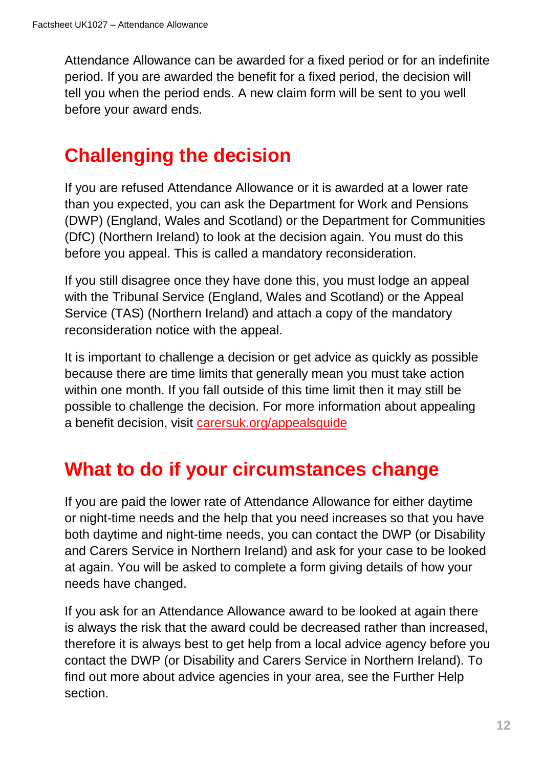Attendance Allowance can be awarded for a fixed period or for an indefinite period. If you are awarded the benefit for a fixed period, the decision will tell you when the period ends. A new claim form will be sent to you well before your award ends.

# **Challenging the decision**

If you are refused Attendance Allowance or it is awarded at a lower rate than you expected, you can ask the Department for Work and Pensions (DWP) (England, Wales and Scotland) or the Department for Communities (DfC) (Northern Ireland) to look at the decision again. You must do this before you appeal. This is called a mandatory reconsideration.

If you still disagree once they have done this, you must lodge an appeal with the Tribunal Service (England, Wales and Scotland) or the Appeal Service (TAS) (Northern Ireland) and attach a copy of the mandatory reconsideration notice with the appeal.

It is important to challenge a decision or get advice as quickly as possible because there are time limits that generally mean you must take action within one month. If you fall outside of this time limit then it may still be possible to challenge the decision. For more information about appealing a benefit decision, visit [carersuk.org/appealsguide](https://www.carersuk.org/help-and-advice/financial-support/help-with-benefits/challenging-a-benefit-decision)

# **What to do if your circumstances change**

If you are paid the lower rate of Attendance Allowance for either daytime or night-time needs and the help that you need increases so that you have both daytime and night-time needs, you can contact the DWP (or Disability and Carers Service in Northern Ireland) and ask for your case to be looked at again. You will be asked to complete a form giving details of how your needs have changed.

If you ask for an Attendance Allowance award to be looked at again there is always the risk that the award could be decreased rather than increased, therefore it is always best to get help from a local advice agency before you contact the DWP (or Disability and Carers Service in Northern Ireland). To find out more about advice agencies in your area, see the Further Help section.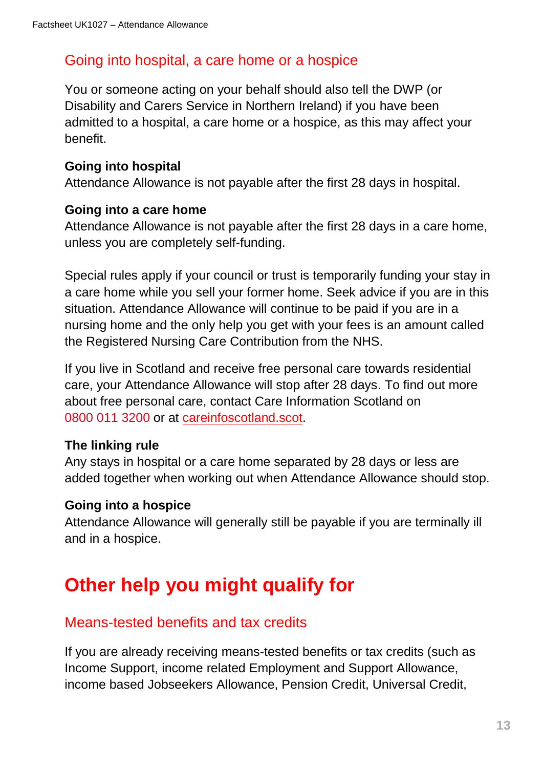### Going into hospital, a care home or a hospice

You or someone acting on your behalf should also tell the DWP (or Disability and Carers Service in Northern Ireland) if you have been admitted to a hospital, a care home or a hospice, as this may affect your benefit.

### **Going into hospital**

Attendance Allowance is not payable after the first 28 days in hospital.

### **Going into a care home**

Attendance Allowance is not payable after the first 28 days in a care home, unless you are completely self-funding.

Special rules apply if your council or trust is temporarily funding your stay in a care home while you sell your former home. Seek advice if you are in this situation. Attendance Allowance will continue to be paid if you are in a nursing home and the only help you get with your fees is an amount called the Registered Nursing Care Contribution from the NHS.

If you live in Scotland and receive free personal care towards residential care, your Attendance Allowance will stop after 28 days. To find out more about free personal care, contact Care Information Scotland on 0800 011 3200 or at [careinfoscotland.scot.](https://careinfoscotland.scot/)

### **The linking rule**

Any stays in hospital or a care home separated by 28 days or less are added together when working out when Attendance Allowance should stop.

### **Going into a hospice**

Attendance Allowance will generally still be payable if you are terminally ill and in a hospice.

# **Other help you might qualify for**

### Means-tested benefits and tax credits

If you are already receiving means-tested benefits or tax credits (such as Income Support, income related Employment and Support Allowance, income based Jobseekers Allowance, Pension Credit, Universal Credit,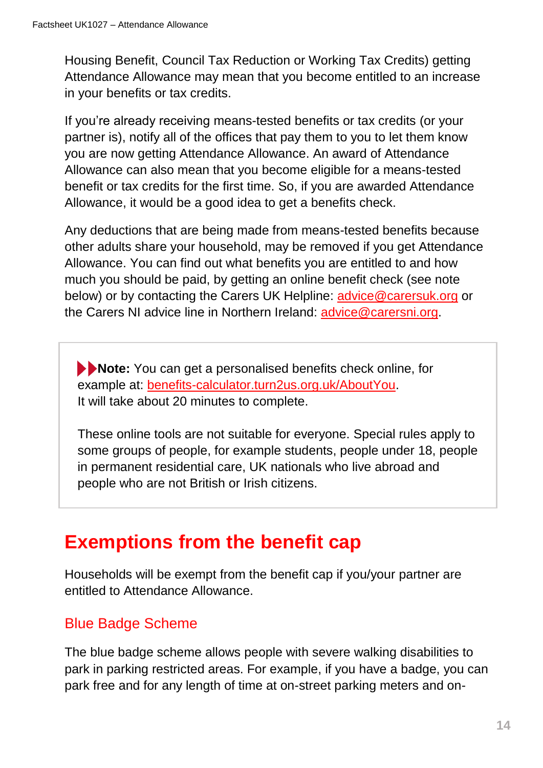Housing Benefit, Council Tax Reduction or Working Tax Credits) getting Attendance Allowance may mean that you become entitled to an increase in your benefits or tax credits.

If you're already receiving means-tested benefits or tax credits (or your partner is), notify all of the offices that pay them to you to let them know you are now getting Attendance Allowance. An award of Attendance Allowance can also mean that you become eligible for a means-tested benefit or tax credits for the first time. So, if you are awarded Attendance Allowance, it would be a good idea to get a benefits check.

Any deductions that are being made from means-tested benefits because other adults share your household, may be removed if you get Attendance Allowance. You can find out what benefits you are entitled to and how much you should be paid, by getting an online benefit check (see note below) or by contacting the Carers UK Helpline: [advice@carersuk.org](mailto:advice@carersuk.org) or the Carers NI advice line in Northern Ireland: [advice@carersni.org.](mailto:advice@carersni.org)

**Note:** You can get a personalised benefits check online, for example at: [benefits-calculator.turn2us.org.uk/AboutYou.](https://benefits-calculator.turn2us.org.uk/AboutYou) It will take about 20 minutes to complete.

These online tools are not suitable for everyone. Special rules apply to some groups of people, for example students, people under 18, people in permanent residential care, UK nationals who live abroad and people who are not British or Irish citizens.

# **Exemptions from the benefit cap**

Households will be exempt from the benefit cap if you/your partner are entitled to Attendance Allowance.

### Blue Badge Scheme

The blue badge scheme allows people with severe walking disabilities to park in parking restricted areas. For example, if you have a badge, you can park free and for any length of time at on-street parking meters and on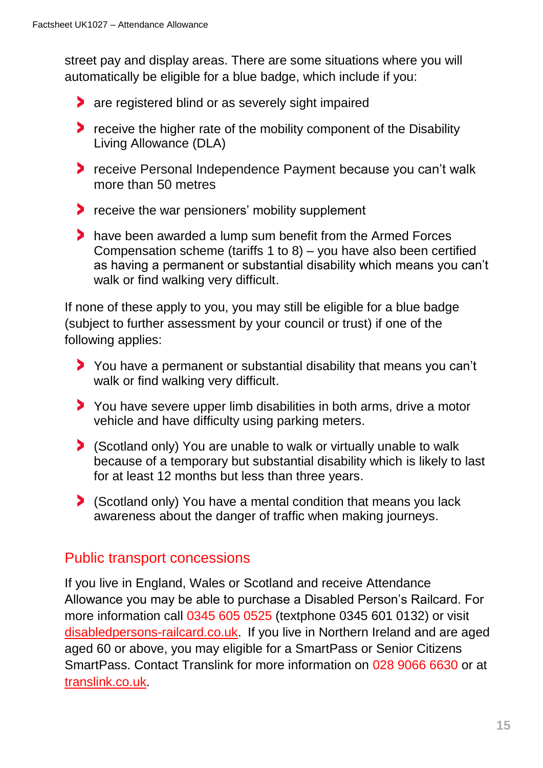street pay and display areas. There are some situations where you will automatically be eligible for a blue badge, which include if you:

- **are registered blind or as severely sight impaired**
- **P** receive the higher rate of the mobility component of the Disability Living Allowance (DLA)
- receive Personal Independence Payment because you can't walk more than 50 metres
- **P** receive the war pensioners' mobility supplement
- have been awarded a lump sum benefit from the Armed Forces Compensation scheme (tariffs 1 to 8) – you have also been certified as having a permanent or substantial disability which means you can't walk or find walking very difficult.

If none of these apply to you, you may still be eligible for a blue badge (subject to further assessment by your council or trust) if one of the following applies:

- You have a permanent or substantial disability that means you can't walk or find walking very difficult.
- You have severe upper limb disabilities in both arms, drive a motor vehicle and have difficulty using parking meters.
- (Scotland only) You are unable to walk or virtually unable to walk because of a temporary but substantial disability which is likely to last for at least 12 months but less than three years.
- (Scotland only) You have a mental condition that means you lack awareness about the danger of traffic when making journeys.

### Public transport concessions

If you live in England, Wales or Scotland and receive Attendance Allowance you may be able to purchase a Disabled Person's Railcard. For more information call 0345 605 0525 (textphone 0345 601 0132) or visit [disabledpersons-railcard.co.uk.](https://www.disabledpersons-railcard.co.uk/) If you live in Northern Ireland and are aged aged 60 or above, you may eligible for a SmartPass or Senior Citizens SmartPass. Contact Translink for more information on 028 9066 6630 or at [translink.co.uk.](http://www.translink.co.uk/)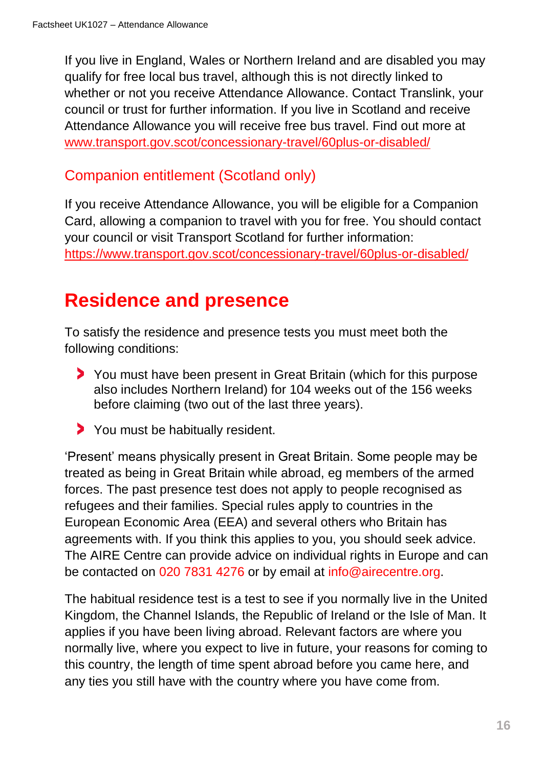If you live in England, Wales or Northern Ireland and are disabled you may qualify for free local bus travel, although this is not directly linked to whether or not you receive Attendance Allowance. Contact Translink, your council or trust for further information. If you live in Scotland and receive Attendance Allowance you will receive free bus travel. Find out more at [www.transport.gov.scot/concessionary-travel/60plus-or-disabled/](https://www.transport.gov.scot/concessionary-travel/60plus-or-disabled/)

### Companion entitlement (Scotland only)

If you receive Attendance Allowance, you will be eligible for a Companion Card, allowing a companion to travel with you for free. You should contact your council or visit Transport Scotland for further information: <https://www.transport.gov.scot/concessionary-travel/60plus-or-disabled/>

# **Residence and presence**

To satisfy the residence and presence tests you must meet both the following conditions:

- You must have been present in Great Britain (which for this purpose also includes Northern Ireland) for 104 weeks out of the 156 weeks before claiming (two out of the last three years).
- You must be habitually resident.

'Present' means physically present in Great Britain. Some people may be treated as being in Great Britain while abroad, eg members of the armed forces. The past presence test does not apply to people recognised as refugees and their families. Special rules apply to countries in the European Economic Area (EEA) and several others who Britain has agreements with. If you think this applies to you, you should seek advice. The AIRE Centre can provide advice on individual rights in Europe and can be contacted on 020 7831 4276 or by email at [info@airecentre.org.](mailto:info@airecentre.org)

The habitual residence test is a test to see if you normally live in the United Kingdom, the Channel Islands, the Republic of Ireland or the Isle of Man. It applies if you have been living abroad. Relevant factors are where you normally live, where you expect to live in future, your reasons for coming to this country, the length of time spent abroad before you came here, and any ties you still have with the country where you have come from.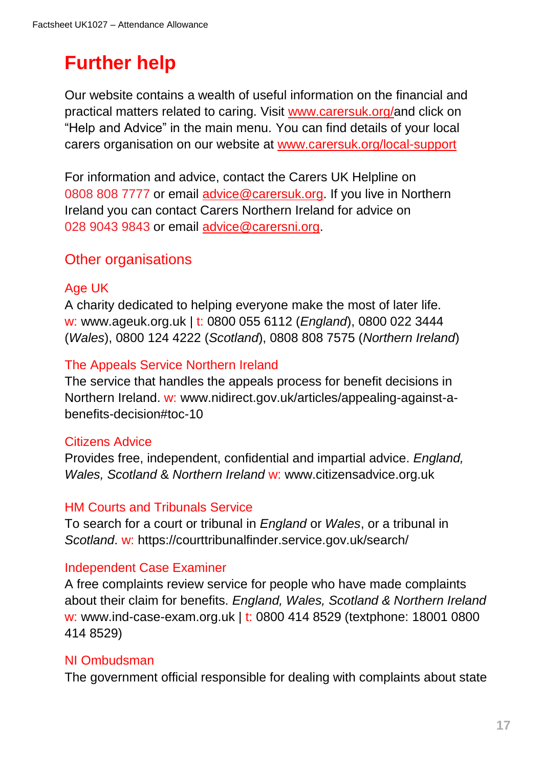# **Further help**

Our website contains a wealth of useful information on the financial and practical matters related to caring. Visit [www.carersuk.org/a](https://www.carersuk.org/)nd click on "Help and Advice" in the main menu. You can find details of your local carers organisation on our website at [www.carersuk.org/local-support](https://www.carersuk.org/help-and-advice/get-support/local-support/dorset-carers-hub)

For information and advice, contact the Carers UK Helpline on 0808 808 7777 or email [advice@carersuk.org.](file://///CUKFILE3/Group/A&I/Carer_Information/PLANNING%20for%20key%20factsheet%20and%20web%20page%20updates/2020/Factsheets%202020-21%20UPDATES/FINAL%20for%202020-21/Attendance%20Allowance%202020/advice@carersuk.org) If you live in Northern Ireland you can contact Carers Northern Ireland for advice on 028 9043 9843 or email [advice@carersni.org.](mailto:advice@carersni.org)

### Other organisations

### Age UK

A charity dedicated to helping everyone make the most of later life. w: www.ageuk.org.uk | t: 0800 055 6112 (*England*), 0800 022 3444 (*Wales*), 0800 124 4222 (*Scotland*), 0808 808 7575 (*Northern Ireland*)

### The Appeals Service Northern Ireland

The service that handles the appeals process for benefit decisions in Northern Ireland. w: www.nidirect.gov.uk/articles/appealing-against-abenefits-decision#toc-10

### Citizens Advice

Provides free, independent, confidential and impartial advice. *England, Wales, Scotland* & *Northern Ireland* w: [www.citizensadvice.org.uk](http://www.citizensadvice.org.uk/)

### HM Courts and Tribunals Service

To search for a court or tribunal in *England* or *Wales*, or a tribunal in *Scotland*. w: <https://courttribunalfinder.service.gov.uk/search/>

### Independent Case Examiner

A free complaints review service for people who have made complaints about their claim for benefits. *England, Wales, Scotland & Northern Ireland* w: www.ind-case-exam.org.uk | t: 0800 414 8529 (textphone: 18001 0800 414 8529)

#### NI Ombudsman

The government official responsible for dealing with complaints about state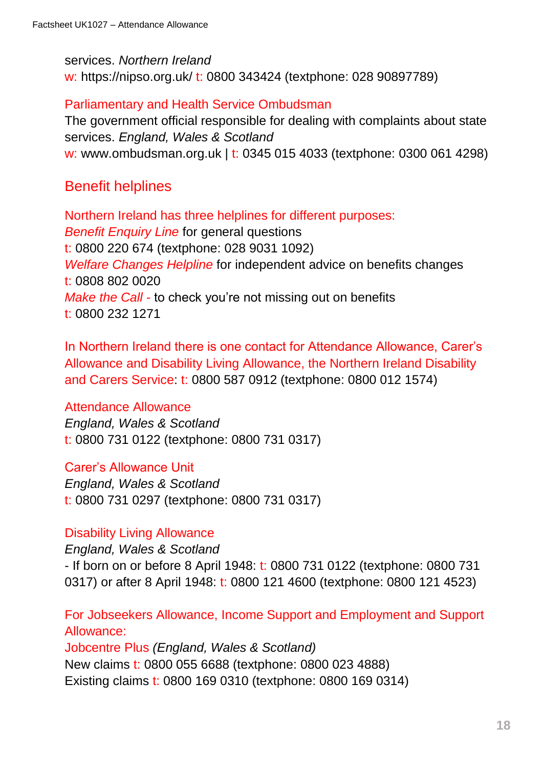#### services. *Northern Ireland*

w: https://nipso.org.uk/ t: 0800 343424 (textphone: 028 90897789)

#### Parliamentary and Health Service Ombudsman

The government official responsible for dealing with complaints about state services. *England, Wales & Scotland* w: www.ombudsman.org.uk | t: 0345 015 4033 (textphone: 0300 061 4298)

### Benefit helplines

Northern Ireland has three helplines for different purposes: *Benefit Enquiry Line* for general questions t: 0800 220 674 (textphone: 028 9031 1092) *Welfare Changes Helpline* for independent advice on benefits changes t: 0808 802 0020 *Make the Call* - to check you're not missing out on benefits t: 0800 232 1271

In Northern Ireland there is one contact for Attendance Allowance, Carer's Allowance and Disability Living Allowance, the Northern Ireland Disability and Carers Service: t: 0800 587 0912 (textphone: 0800 012 1574)

#### Attendance Allowance

*England, Wales & Scotland* t: 0800 731 0122 (textphone: 0800 731 0317)

#### Carer's Allowance Unit

*England, Wales & Scotland* t: 0800 731 0297 (textphone: 0800 731 0317)

#### Disability Living Allowance

*England, Wales & Scotland*

- If born on or before 8 April 1948: t: 0800 731 0122 (textphone: 0800 731 0317) or after 8 April 1948: t: 0800 121 4600 (textphone: 0800 121 4523)

For Jobseekers Allowance, Income Support and Employment and Support Allowance:

Jobcentre Plus *(England, Wales & Scotland)* New claims t: 0800 055 6688 (textphone: 0800 023 4888) Existing claims t: 0800 169 0310 (textphone: 0800 169 0314)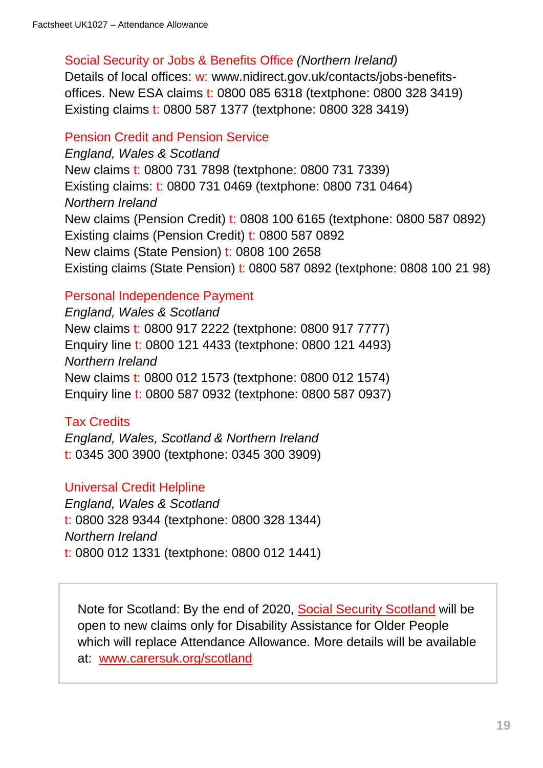#### Social Security or Jobs & Benefits Office *(Northern Ireland)*

Details of local offices: w: [www.nidirect.gov.uk/contacts/jobs-benefits](http://www.nidirect.gov.uk/contacts/jobs-benefits-offices)[offices.](http://www.nidirect.gov.uk/contacts/jobs-benefits-offices) New ESA claims t: 0800 085 6318 (textphone: 0800 328 3419) Existing claims t: 0800 587 1377 (textphone: 0800 328 3419)

#### Pension Credit and Pension Service

*England, Wales & Scotland* New claims t: 0800 731 7898 (textphone: 0800 731 7339) Existing claims: t: 0800 731 0469 (textphone: 0800 731 0464) *Northern Ireland* New claims (Pension Credit) t: 0808 100 6165 (textphone: 0800 587 0892) Existing claims (Pension Credit) t: 0800 587 0892 New claims (State Pension) t: 0808 100 2658 Existing claims (State Pension) t: 0800 587 0892 (textphone: 0808 100 21 98)

### Personal Independence Payment

*England, Wales & Scotland* New claims t: 0800 917 2222 (textphone: 0800 917 7777) Enquiry line t: 0800 121 4433 (textphone: 0800 121 4493) *Northern Ireland* New claims t: 0800 012 1573 (textphone: 0800 012 1574) Enquiry line t: 0800 587 0932 (textphone: 0800 587 0937)

### Tax Credits

*England, Wales, Scotland & Northern Ireland* t: 0345 300 3900 (textphone: 0345 300 3909)

### Universal Credit Helpline

*England, Wales & Scotland* t: 0800 328 9344 (textphone: 0800 328 1344) *Northern Ireland* t: 0800 012 1331 (textphone: 0800 012 1441)

Note for Scotland: By the end of 2020, [Social Security Scotland](https://www.socialsecurity.gov.scot/) will be open to new claims only for Disability Assistance for Older People which will replace Attendance Allowance. More details will be available at: [www.carersuk.org/scotland](https://www.carersuk.org/scotland)